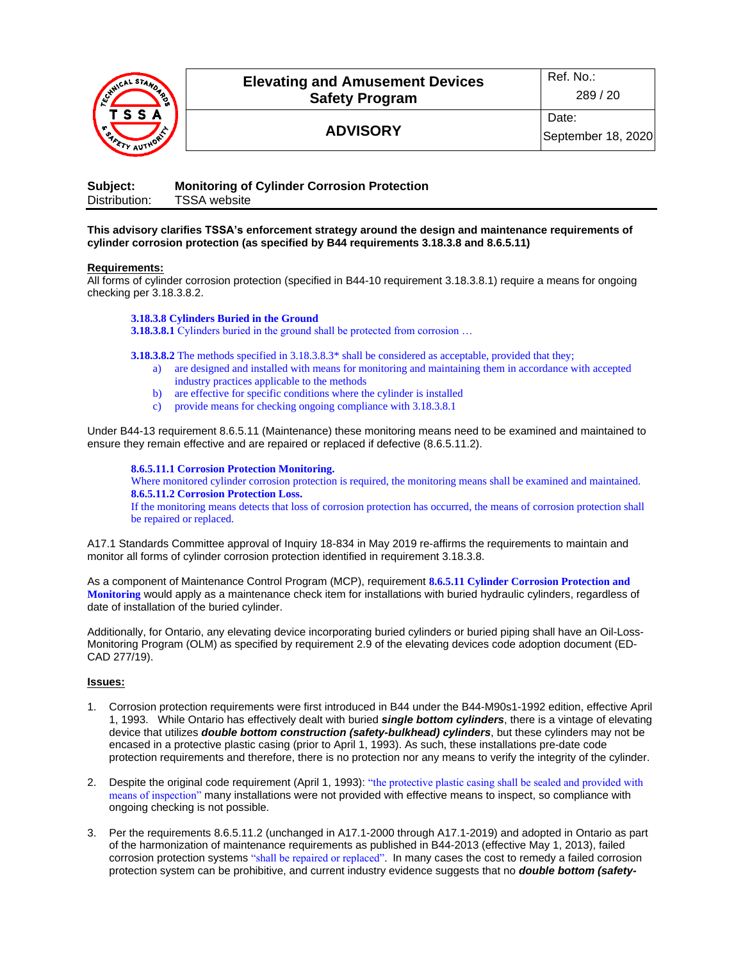

# **Elevating and Amusement Devices Safety Program**

**ADVISORY**

| Subject:      | <b>Monitoring of Cylinder Corrosion Protection</b> |
|---------------|----------------------------------------------------|
| Distribution: | <b>TSSA</b> website                                |

#### **This advisory clarifies TSSA's enforcement strategy around the design and maintenance requirements of cylinder corrosion protection (as specified by B44 requirements 3.18.3.8 and 8.6.5.11)**

## **Requirements:**

All forms of cylinder corrosion protection (specified in B44-10 requirement 3.18.3.8.1) require a means for ongoing checking per 3.18.3.8.2.

## **3.18.3.8 Cylinders Buried in the Ground**

**3.18.3.8.1** Cylinders buried in the ground shall be protected from corrosion …

**3.18.3.8.2** The methods specified in 3.18.3.8.3\* shall be considered as acceptable, provided that they;

- a) are designed and installed with means for monitoring and maintaining them in accordance with accepted industry practices applicable to the methods
- b) are effective for specific conditions where the cylinder is installed
- c) provide means for checking ongoing compliance with 3.18.3.8.1

Under B44-13 requirement 8.6.5.11 (Maintenance) these monitoring means need to be examined and maintained to ensure they remain effective and are repaired or replaced if defective (8.6.5.11.2).

#### **8.6.5.11.1 Corrosion Protection Monitoring.**

Where monitored cylinder corrosion protection is required, the monitoring means shall be examined and maintained. **8.6.5.11.2 Corrosion Protection Loss.** 

If the monitoring means detects that loss of corrosion protection has occurred, the means of corrosion protection shall be repaired or replaced.

A17.1 Standards Committee approval of Inquiry 18-834 in May 2019 re-affirms the requirements to maintain and monitor all forms of cylinder corrosion protection identified in requirement 3.18.3.8.

As a component of Maintenance Control Program (MCP), requirement **8.6.5.11 Cylinder Corrosion Protection and Monitoring** would apply as a maintenance check item for installations with buried hydraulic cylinders, regardless of date of installation of the buried cylinder.

Additionally, for Ontario, any elevating device incorporating buried cylinders or buried piping shall have an Oil-Loss-Monitoring Program (OLM) as specified by requirement 2.9 of the elevating devices code adoption document (ED-CAD 277/19).

#### **Issues:**

- 1. Corrosion protection requirements were first introduced in B44 under the B44-M90s1-1992 edition, effective April 1, 1993. While Ontario has effectively dealt with buried *single bottom cylinders*, there is a vintage of elevating device that utilizes *double bottom construction (safety-bulkhead) cylinders*, but these cylinders may not be encased in a protective plastic casing (prior to April 1, 1993). As such, these installations pre-date code protection requirements and therefore, there is no protection nor any means to verify the integrity of the cylinder.
- 2. Despite the original code requirement (April 1, 1993): "the protective plastic casing shall be sealed and provided with means of inspection" many installations were not provided with effective means to inspect, so compliance with ongoing checking is not possible.
- 3. Per the requirements 8.6.5.11.2 (unchanged in A17.1-2000 through A17.1-2019) and adopted in Ontario as part of the harmonization of maintenance requirements as published in B44-2013 (effective May 1, 2013), failed corrosion protection systems "shall be repaired or replaced". In many cases the cost to remedy a failed corrosion protection system can be prohibitive, and current industry evidence suggests that no *double bottom (safety-*